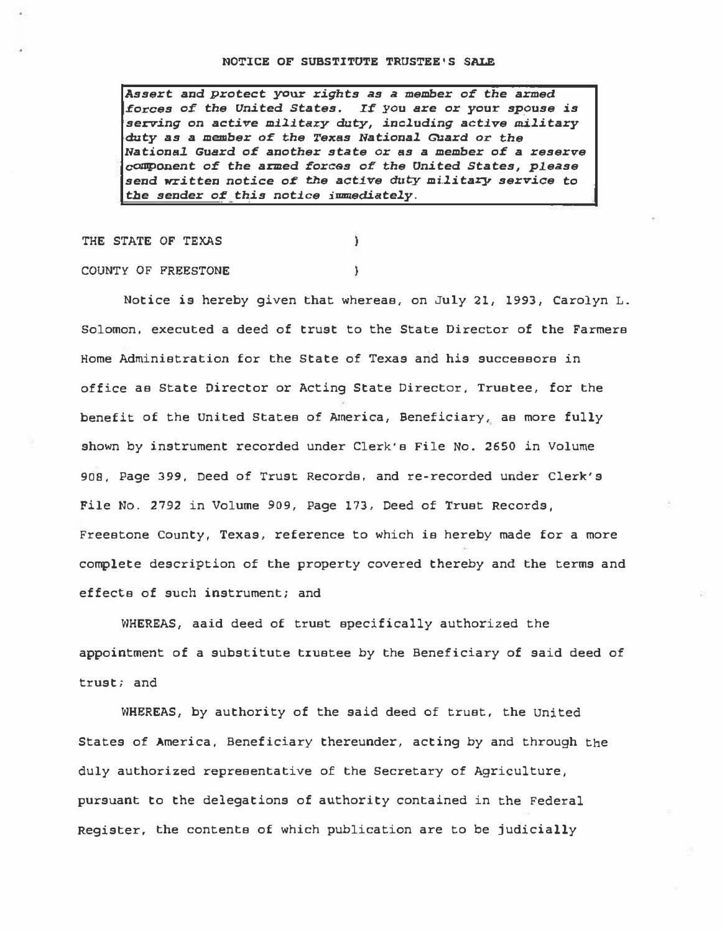Assert and protect your rights as a member 0£ the armed forces of the United States. If you are or your spouse is serving on active military duty, including active military duty as a member of the Texas National Guard or the National. Guard of another state or as a member of a reserve component of the armed forces of the United States, please send written notice of the active duty military service to tbe sender 0£ this notice immediately.

J.

¥

THE STATE OF TEXAS

COUNTY OF FREESTONE

Notice is hereby given that whereas, on July 21, 1993, Carolyn L. Solomon, executed a deed of trust to the State Director of the Farmers Home Administration for the State of Texas and his successors in office as State Director or Acting State Director, Trustee, for the benefit of the United States of America, Beneficiary, as more fully shown by instrument recorded under Clerk's File No. 2650 in Volume 908, Page 399, Deed of Trust Records, and re-recorded under Clerk's File No. 2792 in Volume 909, Page 173, Deed of Trust Records, Freestone County, Texas, reference to which is hereby made for a more complete description of the property covered thereby and the terms and effects of such instrument; and

WHEREAS, aaid deed of trust specifically authorized the appointment of a substitute trustee by the Beneficiary of said deed of trust; and

WHEREAS, by authority of the said deed of trust, the United States of America, Beneficiary thereunder, acting by and through the duly authorized representative of the Secretary of Agriculture, pursuant to the delegations of authority contained in the Federal Register, the contents of which publication are to be judicially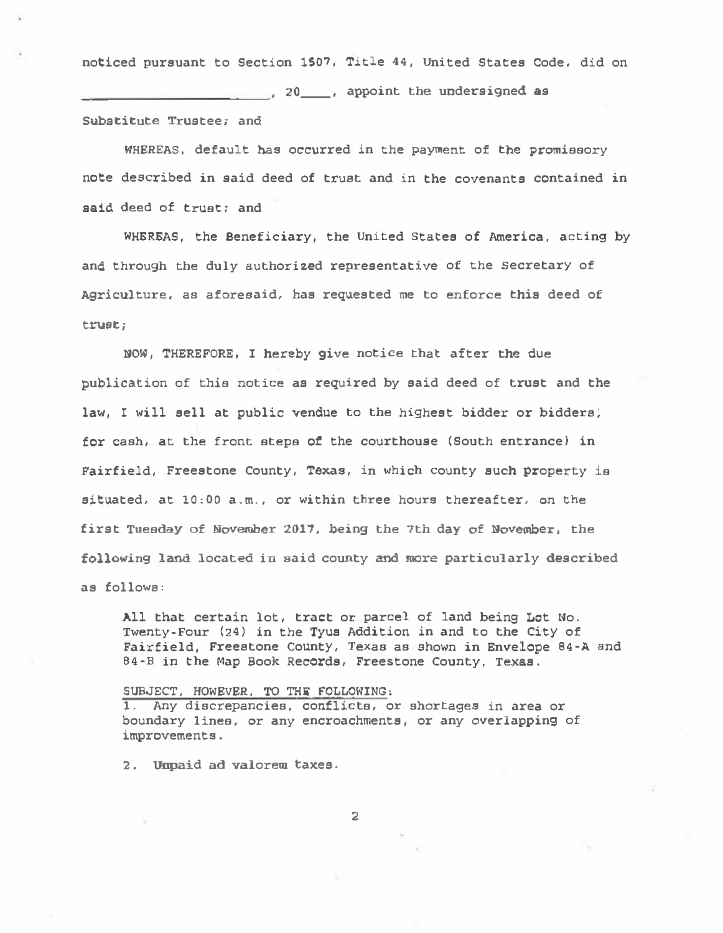noticed pursuant to Section 1507, Title 44, United States Code, did on **20** appoint the undersigned as Substitute Trustee; and

noticed pursuant to Sect<br>
Substitute Trustee; and<br>
WHEREAS, default has<br>
note described in said d<br>
said deed of trust; and<br>
WHEREAS, the Benefi WHEREAS, default has occurred in the payment of the promissory note described in said deed of trust and in the covenants contained in said deed of trust: and

WHEREAS, the Beneficiary, the United States of America, acting by and through the duly authorized representative of the Secretary of Agriculture, as aforesaid, bas requested me to enforce this deed of trust;

NOW, THEREFORE, I hereby give notice that after the due publication of this notice as required by said deed of trust and the law, I will sell at public vendue to the highest bidder or bidders; for cash, at the front steps ot the courthouse (South entrance) in Fairfield, Freestone County, Texas, in which county such property is situated, at 10:00 a.m., or within three hours thereafter, on the first Tuesday of November 2017, being the 7th day of November, the following land located in said county and more particularly described as follows:

All that certain lot, tract or parcel of land being Lot No. Twenty-Four (24) in the Tyus Addition in and to the City of Fairfield, Freestone County, Texas as shown in Envelope 84-A and 84-B in the Map Book Records, Freestone County, Texas.

## SUBJECT, HOWEVER, TO THE FOLLOWING,

1. Any discrepancies, conflicts, or shortages in area or boundary lines, or any encroachments, or any overlapping of improvements.

2. Unpaid ad valorem taxes.

2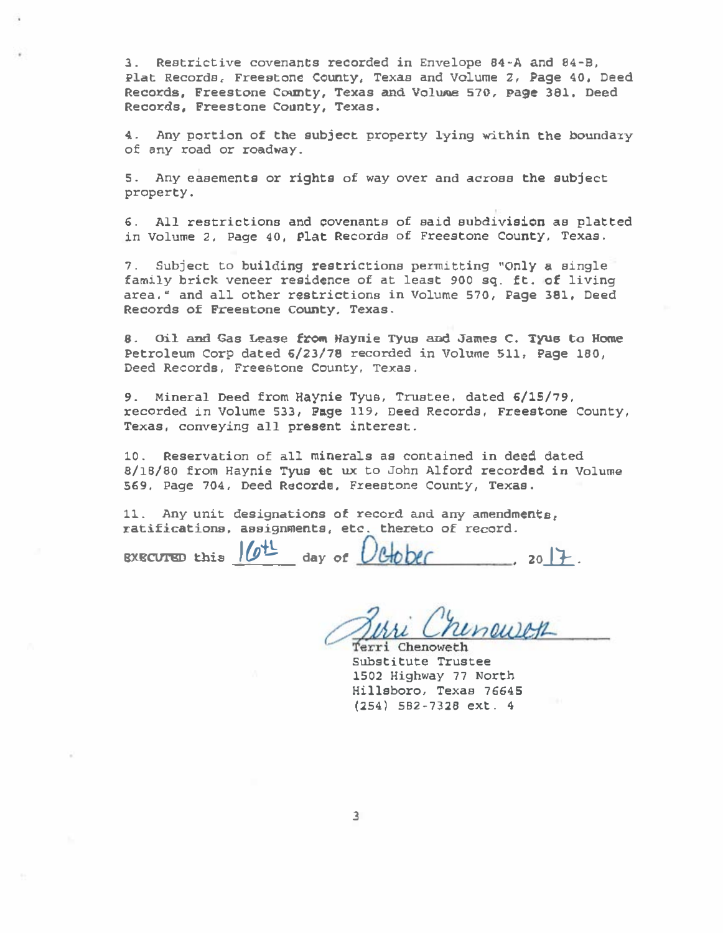3. Restrictive covenants recorded in En velope 84-A and 04-B, Plat Records, Freestone County, Texas and Volume 2, Page 40, Deed Records, Freestone County, Texas and Volume 570, Page 381, Deed Records, Freestone County, Texas.

4. Any portion of the subject property lying within the boundary of any road or roadway.

s. Any easements or rights of way over and across the subject property.

6. All restrictions and covenants of said subdivision as platted in Volume 2, Page 40, Plat Records of Freestone County, Texas.

7. Subject to building restrictions permitting "Only a single family brick veneer residence of at least 900 sq. ft. of living area, " and all other restrictions in Volume 570, Page 381, Deed Records of Freestone County, Texas.

8. Oil and Gas Lease from Haynie Tyus and James C. Tyus to Home Petroleum Corp dated 6/23/78 recorded in Volume 511, Page 180, Deed Records, Freestone county, Texas.

9. Mineral Deed from Haynie Tyus, Trustee, dated 6/15/79, recorded in Volume 533, Page 119, Deed Records, Freestone County, Texas, conveying all present interes<sup>t</sup> .

10. Reservation of all minerals as contained in deed dated 8/lB/80 from Haynie Tyus et ux to John Alford recorded in Volume 569, Page 704, Deed Record<sup>s</sup> , Freestone County, Texas.

11. Any unit designations of record and any amendments, ratifications, assignments, etc. thereto of record.

EXECUTED this  $16^{11}$  day of  $0600$  , 2017.

Chineweth

Substitute Trustee 1502 Highway 77 North Hillsboro, Texas 76645 (254) 582-7328 ext. 4